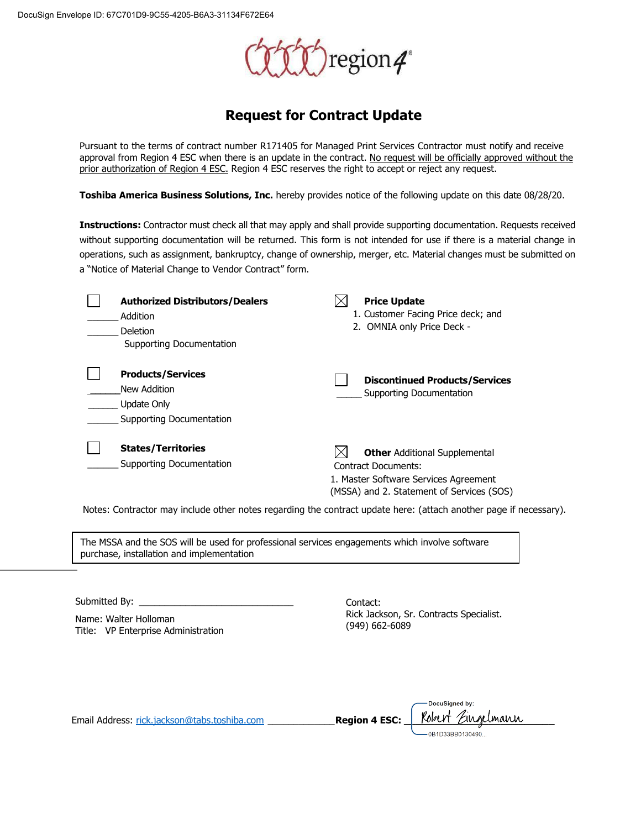

### **Request for Contract Update**

Pursuant to the terms of contract number R171405 for Managed Print Services Contractor must notify and receive approval from Region 4 ESC when there is an update in the contract. No request will be officially approved without the prior authorization of Region 4 ESC. Region 4 ESC reserves the right to accept or reject any request.

**Toshiba America Business Solutions, Inc.** hereby provides notice of the following update on this date 08/28/20.

**Instructions:** Contractor must check all that may apply and shall provide supporting documentation. Requests received without supporting documentation will be returned. This form is not intended for use if there is a material change in operations, such as assignment, bankruptcy, change of ownership, merger, etc. Material changes must be submitted on a "Notice of Material Change to Vendor Contract" form.

| <b>Authorized Distributors/Dealers</b><br>Addition<br>Deletion<br>Supporting Documentation | <b>Price Update</b><br>1. Customer Facing Price deck; and<br>2. OMNIA only Price Deck -                                                           |
|--------------------------------------------------------------------------------------------|---------------------------------------------------------------------------------------------------------------------------------------------------|
| <b>Products/Services</b><br>New Addition<br>Update Only<br>Supporting Documentation        | <b>Discontinued Products/Services</b><br>Supporting Documentation                                                                                 |
| <b>States/Territories</b><br>Supporting Documentation                                      | <b>Other Additional Supplemental</b><br>Contract Documents:<br>1. Master Software Services Agreement<br>(MSSA) and 2. Statement of Services (SOS) |

Notes: Contractor may include other notes regarding the contract update here: (attach another page if necessary).

The MSSA and the SOS will be used for professional services engagements which involve software purchase, installation and implementation

Submitted By:

Name: Walter Holloman Title: VP Enterprise Administration Contact: Rick Jackson, Sr. Contracts Specialist. (949) 662-6089

|                                              |                      | -DocuSigned by:   |
|----------------------------------------------|----------------------|-------------------|
| Email Address: rick.jackson@tabs.toshiba.com | <b>Region 4 ESC:</b> | Robert Eingelmann |
|                                              |                      | -0B1D33BB0130490  |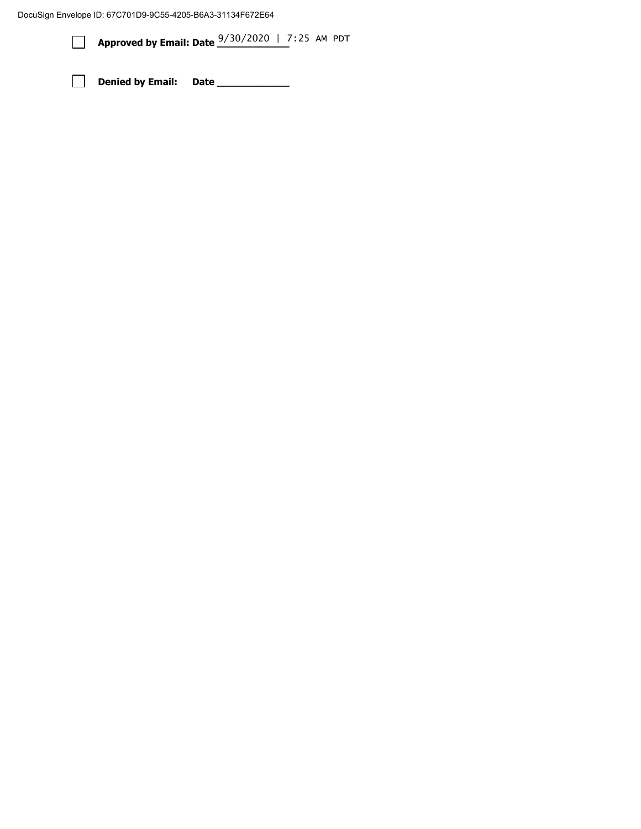DocuSign Envelope ID: 67C701D9-9C55-4205-B6A3-31134F672E64

**Approved by Email: Date**  $\frac{9/30/2020}{\sqrt{10}}$  | 7:25 AM PDT

**Denied by Email: Date \_\_\_\_\_\_\_\_\_\_\_\_**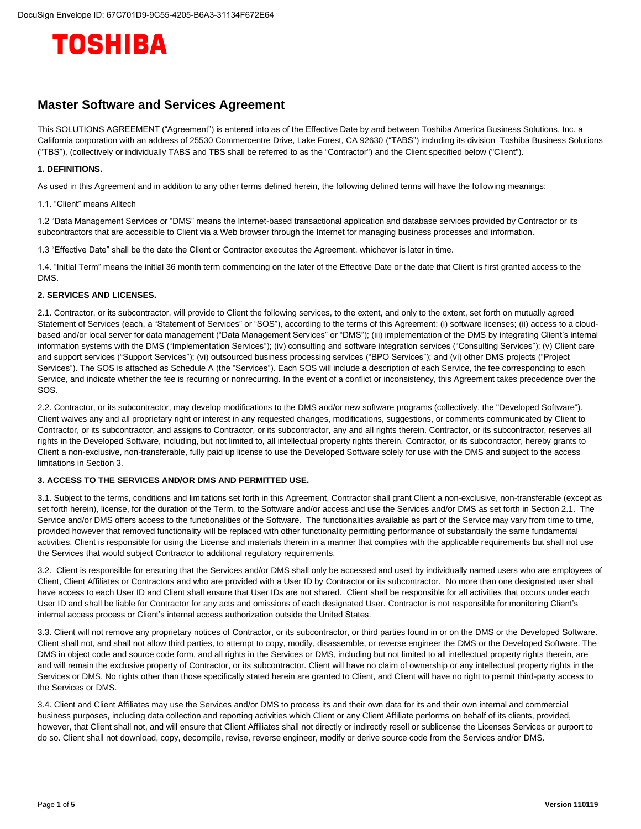

#### **Master Software and Services Agreement**

This SOLUTIONS AGREEMENT ("Agreement") is entered into as of the Effective Date by and between Toshiba America Business Solutions, Inc. a California corporation with an address of 25530 Commercentre Drive, Lake Forest, CA 92630 ("TABS") including its division Toshiba Business Solutions ("TBS"), (collectively or individually TABS and TBS shall be referred to as the "Contractor") and the Client specified below ("Client").

#### **1. DEFINITIONS.**

As used in this Agreement and in addition to any other terms defined herein, the following defined terms will have the following meanings:

1.1. "Client" means Alltech

1.2 "Data Management Services or "DMS" means the Internet-based transactional application and database services provided by Contractor or its subcontractors that are accessible to Client via a Web browser through the Internet for managing business processes and information.

1.3 "Effective Date" shall be the date the Client or Contractor executes the Agreement, whichever is later in time.

1.4. "Initial Term" means the initial 36 month term commencing on the later of the Effective Date or the date that Client is first granted access to the DMS.

#### **2. SERVICES AND LICENSES.**

2.1. Contractor, or its subcontractor, will provide to Client the following services, to the extent, and only to the extent, set forth on mutually agreed Statement of Services (each, a "Statement of Services" or "SOS"), according to the terms of this Agreement: (i) software licenses; (ii) access to a cloudbased and/or local server for data management ("Data Management Services" or "DMS"); (iii) implementation of the DMS by integrating Client's internal information systems with the DMS ("Implementation Services"); (iv) consulting and software integration services ("Consulting Services"); (v) Client care and support services ("Support Services"); (vi) outsourced business processing services ("BPO Services"); and (vi) other DMS projects ("Project Services"). The SOS is attached as Schedule A (the "Services"). Each SOS will include a description of each Service, the fee corresponding to each Service, and indicate whether the fee is recurring or nonrecurring. In the event of a conflict or inconsistency, this Agreement takes precedence over the SOS.

2.2. Contractor, or its subcontractor, may develop modifications to the DMS and/or new software programs (collectively, the "Developed Software"). Client waives any and all proprietary right or interest in any requested changes, modifications, suggestions, or comments communicated by Client to Contractor, or its subcontractor, and assigns to Contractor, or its subcontractor, any and all rights therein. Contractor, or its subcontractor, reserves all rights in the Developed Software, including, but not limited to, all intellectual property rights therein. Contractor, or its subcontractor, hereby grants to Client a non-exclusive, non-transferable, fully paid up license to use the Developed Software solely for use with the DMS and subject to the access limitations in Section 3.

#### **3. ACCESS TO THE SERVICES AND/OR DMS AND PERMITTED USE.**

3.1. Subject to the terms, conditions and limitations set forth in this Agreement, Contractor shall grant Client a non-exclusive, non-transferable (except as set forth herein), license, for the duration of the Term, to the Software and/or access and use the Services and/or DMS as set forth in Section 2.1. The Service and/or DMS offers access to the functionalities of the Software. The functionalities available as part of the Service may vary from time to time, provided however that removed functionality will be replaced with other functionality permitting performance of substantially the same fundamental activities. Client is responsible for using the License and materials therein in a manner that complies with the applicable requirements but shall not use the Services that would subject Contractor to additional regulatory requirements.

3.2. Client is responsible for ensuring that the Services and/or DMS shall only be accessed and used by individually named users who are employees of Client, Client Affiliates or Contractors and who are provided with a User ID by Contractor or its subcontractor. No more than one designated user shall have access to each User ID and Client shall ensure that User IDs are not shared. Client shall be responsible for all activities that occurs under each User ID and shall be liable for Contractor for any acts and omissions of each designated User. Contractor is not responsible for monitoring Client's internal access process or Client's internal access authorization outside the United States.

3.3. Client will not remove any proprietary notices of Contractor, or its subcontractor, or third parties found in or on the DMS or the Developed Software. Client shall not, and shall not allow third parties, to attempt to copy, modify, disassemble, or reverse engineer the DMS or the Developed Software. The DMS in object code and source code form, and all rights in the Services or DMS, including but not limited to all intellectual property rights therein, are and will remain the exclusive property of Contractor, or its subcontractor. Client will have no claim of ownership or any intellectual property rights in the Services or DMS. No rights other than those specifically stated herein are granted to Client, and Client will have no right to permit third-party access to the Services or DMS.

3.4. Client and Client Affiliates may use the Services and/or DMS to process its and their own data for its and their own internal and commercial business purposes, including data collection and reporting activities which Client or any Client Affiliate performs on behalf of its clients, provided, however, that Client shall not, and will ensure that Client Affiliates shall not directly or indirectly resell or sublicense the Licenses Services or purport to do so. Client shall not download, copy, decompile, revise, reverse engineer, modify or derive source code from the Services and/or DMS.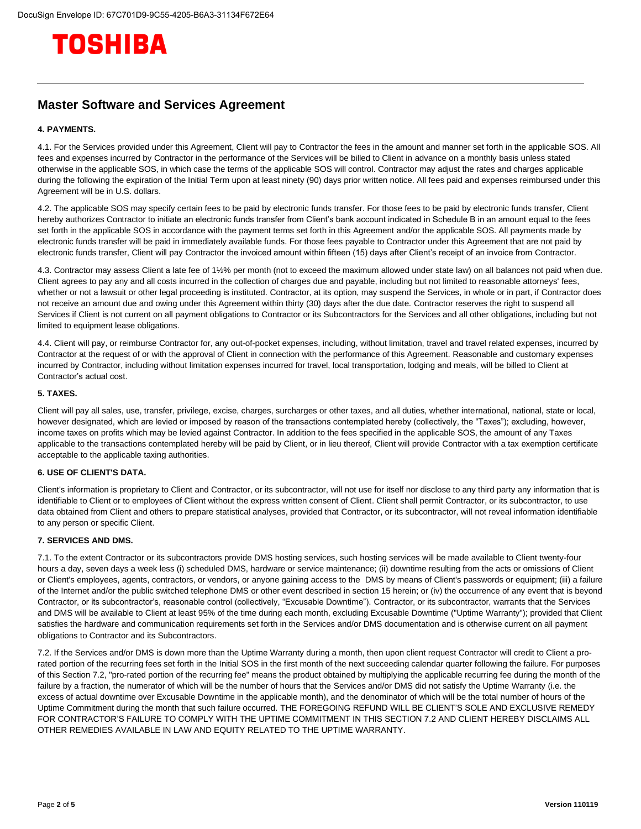# TOSHIBA

#### **Master Software and Services Agreement**

#### **4. PAYMENTS.**

4.1. For the Services provided under this Agreement, Client will pay to Contractor the fees in the amount and manner set forth in the applicable SOS. All fees and expenses incurred by Contractor in the performance of the Services will be billed to Client in advance on a monthly basis unless stated otherwise in the applicable SOS, in which case the terms of the applicable SOS will control. Contractor may adjust the rates and charges applicable during the following the expiration of the Initial Term upon at least ninety (90) days prior written notice. All fees paid and expenses reimbursed under this Agreement will be in U.S. dollars.

4.2. The applicable SOS may specify certain fees to be paid by electronic funds transfer. For those fees to be paid by electronic funds transfer, Client hereby authorizes Contractor to initiate an electronic funds transfer from Client's bank account indicated in Schedule B in an amount equal to the fees set forth in the applicable SOS in accordance with the payment terms set forth in this Agreement and/or the applicable SOS. All payments made by electronic funds transfer will be paid in immediately available funds. For those fees payable to Contractor under this Agreement that are not paid by electronic funds transfer, Client will pay Contractor the invoiced amount within fifteen (15) days after Client's receipt of an invoice from Contractor.

4.3. Contractor may assess Client a late fee of 1½% per month (not to exceed the maximum allowed under state law) on all balances not paid when due. Client agrees to pay any and all costs incurred in the collection of charges due and payable, including but not limited to reasonable attorneys' fees, whether or not a lawsuit or other legal proceeding is instituted. Contractor, at its option, may suspend the Services, in whole or in part, if Contractor does not receive an amount due and owing under this Agreement within thirty (30) days after the due date. Contractor reserves the right to suspend all Services if Client is not current on all payment obligations to Contractor or its Subcontractors for the Services and all other obligations, including but not limited to equipment lease obligations.

4.4. Client will pay, or reimburse Contractor for, any out-of-pocket expenses, including, without limitation, travel and travel related expenses, incurred by Contractor at the request of or with the approval of Client in connection with the performance of this Agreement. Reasonable and customary expenses incurred by Contractor, including without limitation expenses incurred for travel, local transportation, lodging and meals, will be billed to Client at Contractor's actual cost.

#### **5. TAXES.**

Client will pay all sales, use, transfer, privilege, excise, charges, surcharges or other taxes, and all duties, whether international, national, state or local, however designated, which are levied or imposed by reason of the transactions contemplated hereby (collectively, the "Taxes"); excluding, however, income taxes on profits which may be levied against Contractor. In addition to the fees specified in the applicable SOS, the amount of any Taxes applicable to the transactions contemplated hereby will be paid by Client, or in lieu thereof, Client will provide Contractor with a tax exemption certificate acceptable to the applicable taxing authorities.

#### **6. USE OF CLIENT'S DATA.**

Client's information is proprietary to Client and Contractor, or its subcontractor, will not use for itself nor disclose to any third party any information that is identifiable to Client or to employees of Client without the express written consent of Client. Client shall permit Contractor, or its subcontractor, to use data obtained from Client and others to prepare statistical analyses, provided that Contractor, or its subcontractor, will not reveal information identifiable to any person or specific Client.

#### **7. SERVICES AND DMS.**

7.1. To the extent Contractor or its subcontractors provide DMS hosting services, such hosting services will be made available to Client twenty-four hours a day, seven days a week less (i) scheduled DMS, hardware or service maintenance; (ii) downtime resulting from the acts or omissions of Client or Client's employees, agents, contractors, or vendors, or anyone gaining access to the DMS by means of Client's passwords or equipment; (iii) a failure of the Internet and/or the public switched telephone DMS or other event described in section 15 herein; or (iv) the occurrence of any event that is beyond Contractor, or its subcontractor's, reasonable control (collectively, "Excusable Downtime"). Contractor, or its subcontractor, warrants that the Services and DMS will be available to Client at least 95% of the time during each month, excluding Excusable Downtime ("Uptime Warranty"); provided that Client satisfies the hardware and communication requirements set forth in the Services and/or DMS documentation and is otherwise current on all payment obligations to Contractor and its Subcontractors.

7.2. If the Services and/or DMS is down more than the Uptime Warranty during a month, then upon client request Contractor will credit to Client a prorated portion of the recurring fees set forth in the Initial SOS in the first month of the next succeeding calendar quarter following the failure. For purposes of this Section 7.2, "pro-rated portion of the recurring fee" means the product obtained by multiplying the applicable recurring fee during the month of the failure by a fraction, the numerator of which will be the number of hours that the Services and/or DMS did not satisfy the Uptime Warranty (i.e. the excess of actual downtime over Excusable Downtime in the applicable month), and the denominator of which will be the total number of hours of the Uptime Commitment during the month that such failure occurred. THE FOREGOING REFUND WILL BE CLIENT'S SOLE AND EXCLUSIVE REMEDY FOR CONTRACTOR'S FAILURE TO COMPLY WITH THE UPTIME COMMITMENT IN THIS SECTION 7.2 AND CLIENT HEREBY DISCLAIMS ALL OTHER REMEDIES AVAILABLE IN LAW AND EQUITY RELATED TO THE UPTIME WARRANTY.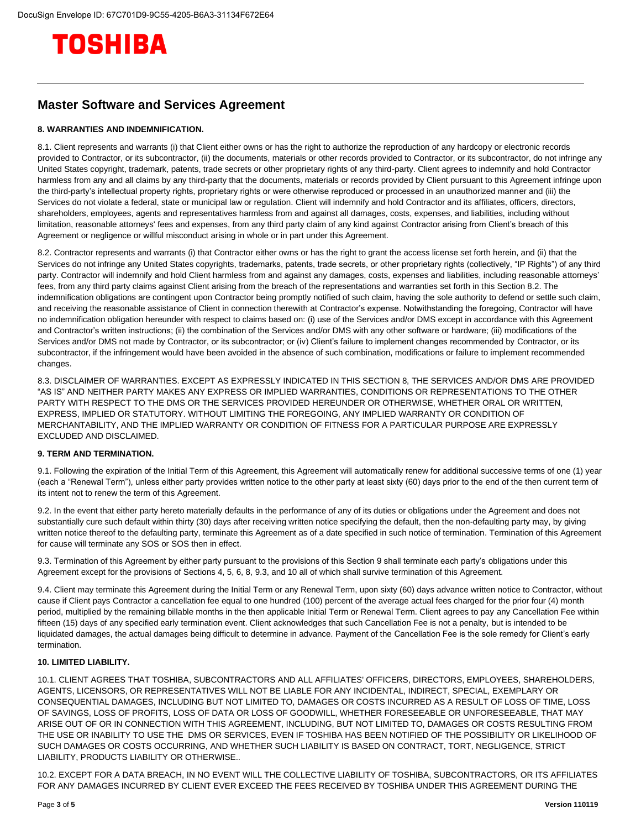# TOSHIBA

#### **Master Software and Services Agreement**

#### **8. WARRANTIES AND INDEMNIFICATION.**

8.1. Client represents and warrants (i) that Client either owns or has the right to authorize the reproduction of any hardcopy or electronic records provided to Contractor, or its subcontractor, (ii) the documents, materials or other records provided to Contractor, or its subcontractor, do not infringe any United States copyright, trademark, patents, trade secrets or other proprietary rights of any third-party. Client agrees to indemnify and hold Contractor harmless from any and all claims by any third-party that the documents, materials or records provided by Client pursuant to this Agreement infringe upon the third-party's intellectual property rights, proprietary rights or were otherwise reproduced or processed in an unauthorized manner and (iii) the Services do not violate a federal, state or municipal law or regulation. Client will indemnify and hold Contractor and its affiliates, officers, directors, shareholders, employees, agents and representatives harmless from and against all damages, costs, expenses, and liabilities, including without limitation, reasonable attorneys' fees and expenses, from any third party claim of any kind against Contractor arising from Client's breach of this Agreement or negligence or willful misconduct arising in whole or in part under this Agreement.

8.2. Contractor represents and warrants (i) that Contractor either owns or has the right to grant the access license set forth herein, and (ii) that the Services do not infringe any United States copyrights, trademarks, patents, trade secrets, or other proprietary rights (collectively, "IP Rights") of any third party. Contractor will indemnify and hold Client harmless from and against any damages, costs, expenses and liabilities, including reasonable attorneys' fees, from any third party claims against Client arising from the breach of the representations and warranties set forth in this Section 8.2. The indemnification obligations are contingent upon Contractor being promptly notified of such claim, having the sole authority to defend or settle such claim, and receiving the reasonable assistance of Client in connection therewith at Contractor's expense. Notwithstanding the foregoing, Contractor will have no indemnification obligation hereunder with respect to claims based on: (i) use of the Services and/or DMS except in accordance with this Agreement and Contractor's written instructions; (ii) the combination of the Services and/or DMS with any other software or hardware; (iii) modifications of the Services and/or DMS not made by Contractor, or its subcontractor; or (iv) Client's failure to implement changes recommended by Contractor, or its subcontractor, if the infringement would have been avoided in the absence of such combination, modifications or failure to implement recommended changes.

8.3. DISCLAIMER OF WARRANTIES. EXCEPT AS EXPRESSLY INDICATED IN THIS SECTION 8, THE SERVICES AND/OR DMS ARE PROVIDED "AS IS" AND NEITHER PARTY MAKES ANY EXPRESS OR IMPLIED WARRANTIES, CONDITIONS OR REPRESENTATIONS TO THE OTHER PARTY WITH RESPECT TO THE DMS OR THE SERVICES PROVIDED HEREUNDER OR OTHERWISE, WHETHER ORAL OR WRITTEN, EXPRESS, IMPLIED OR STATUTORY. WITHOUT LIMITING THE FOREGOING, ANY IMPLIED WARRANTY OR CONDITION OF MERCHANTABILITY, AND THE IMPLIED WARRANTY OR CONDITION OF FITNESS FOR A PARTICULAR PURPOSE ARE EXPRESSLY EXCLUDED AND DISCLAIMED.

#### **9. TERM AND TERMINATION.**

9.1. Following the expiration of the Initial Term of this Agreement, this Agreement will automatically renew for additional successive terms of one (1) year (each a "Renewal Term"), unless either party provides written notice to the other party at least sixty (60) days prior to the end of the then current term of its intent not to renew the term of this Agreement.

9.2. In the event that either party hereto materially defaults in the performance of any of its duties or obligations under the Agreement and does not substantially cure such default within thirty (30) days after receiving written notice specifying the default, then the non-defaulting party may, by giving written notice thereof to the defaulting party, terminate this Agreement as of a date specified in such notice of termination. Termination of this Agreement for cause will terminate any SOS or SOS then in effect.

9.3. Termination of this Agreement by either party pursuant to the provisions of this Section 9 shall terminate each party's obligations under this Agreement except for the provisions of Sections 4, 5, 6, 8, 9.3, and 10 all of which shall survive termination of this Agreement.

9.4. Client may terminate this Agreement during the Initial Term or any Renewal Term, upon sixty (60) days advance written notice to Contractor, without cause if Client pays Contractor a cancellation fee equal to one hundred (100) percent of the average actual fees charged for the prior four (4) month period, multiplied by the remaining billable months in the then applicable Initial Term or Renewal Term. Client agrees to pay any Cancellation Fee within fifteen (15) days of any specified early termination event. Client acknowledges that such Cancellation Fee is not a penalty, but is intended to be liquidated damages, the actual damages being difficult to determine in advance. Payment of the Cancellation Fee is the sole remedy for Client's early termination.

#### **10. LIMITED LIABILITY.**

10.1. CLIENT AGREES THAT TOSHIBA, SUBCONTRACTORS AND ALL AFFILIATES' OFFICERS, DIRECTORS, EMPLOYEES, SHAREHOLDERS, AGENTS, LICENSORS, OR REPRESENTATIVES WILL NOT BE LIABLE FOR ANY INCIDENTAL, INDIRECT, SPECIAL, EXEMPLARY OR CONSEQUENTIAL DAMAGES, INCLUDING BUT NOT LIMITED TO, DAMAGES OR COSTS INCURRED AS A RESULT OF LOSS OF TIME, LOSS OF SAVINGS, LOSS OF PROFITS, LOSS OF DATA OR LOSS OF GOODWILL, WHETHER FORESEEABLE OR UNFORESEEABLE, THAT MAY ARISE OUT OF OR IN CONNECTION WITH THIS AGREEMENT, INCLUDING, BUT NOT LIMITED TO, DAMAGES OR COSTS RESULTING FROM THE USE OR INABILITY TO USE THE DMS OR SERVICES, EVEN IF TOSHIBA HAS BEEN NOTIFIED OF THE POSSIBILITY OR LIKELIHOOD OF SUCH DAMAGES OR COSTS OCCURRING, AND WHETHER SUCH LIABILITY IS BASED ON CONTRACT, TORT, NEGLIGENCE, STRICT LIABILITY, PRODUCTS LIABILITY OR OTHERWISE..

10.2. EXCEPT FOR A DATA BREACH, IN NO EVENT WILL THE COLLECTIVE LIABILITY OF TOSHIBA, SUBCONTRACTORS, OR ITS AFFILIATES FOR ANY DAMAGES INCURRED BY CLIENT EVER EXCEED THE FEES RECEIVED BY TOSHIBA UNDER THIS AGREEMENT DURING THE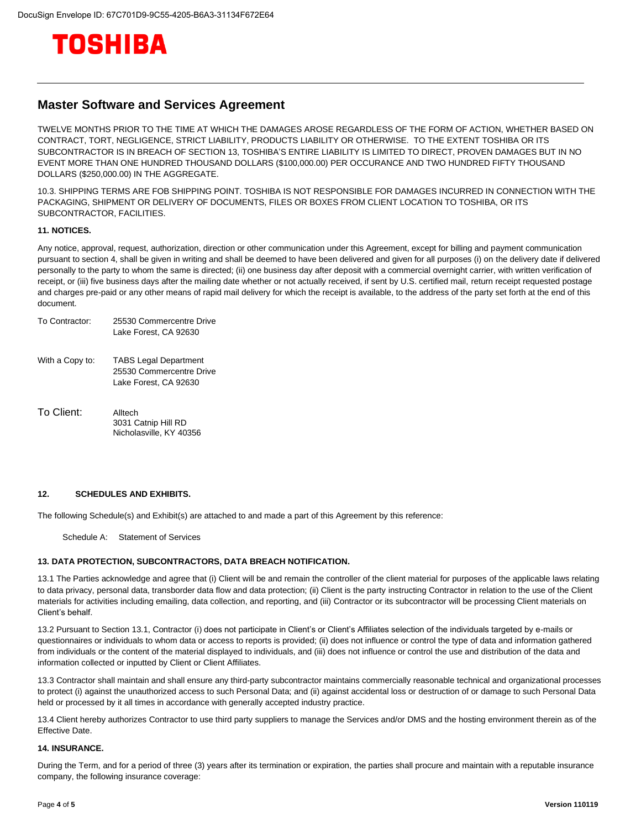

#### **Master Software and Services Agreement**

TWELVE MONTHS PRIOR TO THE TIME AT WHICH THE DAMAGES AROSE REGARDLESS OF THE FORM OF ACTION, WHETHER BASED ON CONTRACT, TORT, NEGLIGENCE, STRICT LIABILITY, PRODUCTS LIABILITY OR OTHERWISE. TO THE EXTENT TOSHIBA OR ITS SUBCONTRACTOR IS IN BREACH OF SECTION 13, TOSHIBA'S ENTIRE LIABILITY IS LIMITED TO DIRECT, PROVEN DAMAGES BUT IN NO EVENT MORE THAN ONE HUNDRED THOUSAND DOLLARS (\$100,000.00) PER OCCURANCE AND TWO HUNDRED FIFTY THOUSAND DOLLARS (\$250,000.00) IN THE AGGREGATE.

10.3. SHIPPING TERMS ARE FOB SHIPPING POINT. TOSHIBA IS NOT RESPONSIBLE FOR DAMAGES INCURRED IN CONNECTION WITH THE PACKAGING, SHIPMENT OR DELIVERY OF DOCUMENTS, FILES OR BOXES FROM CLIENT LOCATION TO TOSHIBA, OR ITS SUBCONTRACTOR, FACILITIES.

#### **11. NOTICES.**

Any notice, approval, request, authorization, direction or other communication under this Agreement, except for billing and payment communication pursuant to section 4, shall be given in writing and shall be deemed to have been delivered and given for all purposes (i) on the delivery date if delivered personally to the party to whom the same is directed; (ii) one business day after deposit with a commercial overnight carrier, with written verification of receipt, or (iii) five business days after the mailing date whether or not actually received, if sent by U.S. certified mail, return receipt requested postage and charges pre-paid or any other means of rapid mail delivery for which the receipt is available, to the address of the party set forth at the end of this document.

| To Contractor:  | 25530 Commercentre Drive<br>Lake Forest, CA 92630                                 |
|-----------------|-----------------------------------------------------------------------------------|
| With a Copy to: | <b>TABS Legal Department</b><br>25530 Commercentre Drive<br>Lake Forest. CA 92630 |

To Client: Alltech 3031 Catnip Hill RD Nicholasville, KY 40356

#### **12. SCHEDULES AND EXHIBITS.**

The following Schedule(s) and Exhibit(s) are attached to and made a part of this Agreement by this reference:

Schedule A: Statement of Services

#### **13. DATA PROTECTION, SUBCONTRACTORS, DATA BREACH NOTIFICATION.**

13.1 The Parties acknowledge and agree that (i) Client will be and remain the controller of the client material for purposes of the applicable laws relating to data privacy, personal data, transborder data flow and data protection; (ii) Client is the party instructing Contractor in relation to the use of the Client materials for activities including emailing, data collection, and reporting, and (iii) Contractor or its subcontractor will be processing Client materials on Client's behalf.

13.2 Pursuant to Section 13.1, Contractor (i) does not participate in Client's or Client's Affiliates selection of the individuals targeted by e-mails or questionnaires or individuals to whom data or access to reports is provided; (ii) does not influence or control the type of data and information gathered from individuals or the content of the material displayed to individuals, and (iii) does not influence or control the use and distribution of the data and information collected or inputted by Client or Client Affiliates.

13.3 Contractor shall maintain and shall ensure any third-party subcontractor maintains commercially reasonable technical and organizational processes to protect (i) against the unauthorized access to such Personal Data; and (ii) against accidental loss or destruction of or damage to such Personal Data held or processed by it all times in accordance with generally accepted industry practice.

13.4 Client hereby authorizes Contractor to use third party suppliers to manage the Services and/or DMS and the hosting environment therein as of the Effective Date.

#### **14. INSURANCE.**

During the Term, and for a period of three (3) years after its termination or expiration, the parties shall procure and maintain with a reputable insurance company, the following insurance coverage: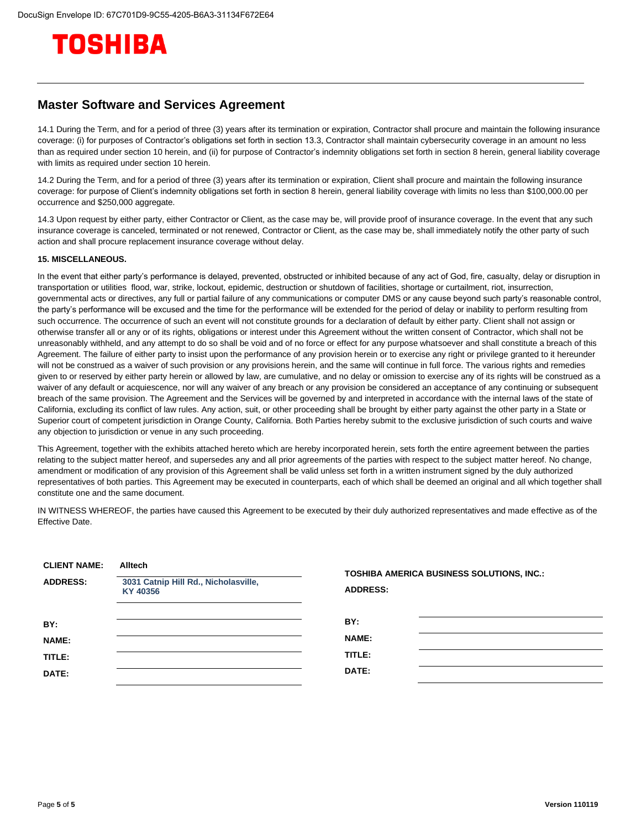

#### **Master Software and Services Agreement**

14.1 During the Term, and for a period of three (3) years after its termination or expiration, Contractor shall procure and maintain the following insurance coverage: (i) for purposes of Contractor's obligations set forth in section 13.3, Contractor shall maintain cybersecurity coverage in an amount no less than as required under section 10 herein, and (ii) for purpose of Contractor's indemnity obligations set forth in section 8 herein, general liability coverage with limits as required under section 10 herein.

14.2 During the Term, and for a period of three (3) years after its termination or expiration, Client shall procure and maintain the following insurance coverage: for purpose of Client's indemnity obligations set forth in section 8 herein, general liability coverage with limits no less than \$100,000.00 per occurrence and \$250,000 aggregate.

14.3 Upon request by either party, either Contractor or Client, as the case may be, will provide proof of insurance coverage. In the event that any such insurance coverage is canceled, terminated or not renewed, Contractor or Client, as the case may be, shall immediately notify the other party of such action and shall procure replacement insurance coverage without delay.

#### **15. MISCELLANEOUS.**

In the event that either party's performance is delayed, prevented, obstructed or inhibited because of any act of God, fire, casualty, delay or disruption in transportation or utilities flood, war, strike, lockout, epidemic, destruction or shutdown of facilities, shortage or curtailment, riot, insurrection, governmental acts or directives, any full or partial failure of any communications or computer DMS or any cause beyond such party's reasonable control, the party's performance will be excused and the time for the performance will be extended for the period of delay or inability to perform resulting from such occurrence. The occurrence of such an event will not constitute grounds for a declaration of default by either party. Client shall not assign or otherwise transfer all or any or of its rights, obligations or interest under this Agreement without the written consent of Contractor, which shall not be unreasonably withheld, and any attempt to do so shall be void and of no force or effect for any purpose whatsoever and shall constitute a breach of this Agreement. The failure of either party to insist upon the performance of any provision herein or to exercise any right or privilege granted to it hereunder will not be construed as a waiver of such provision or any provisions herein, and the same will continue in full force. The various rights and remedies given to or reserved by either party herein or allowed by law, are cumulative, and no delay or omission to exercise any of its rights will be construed as a waiver of any default or acquiescence, nor will any waiver of any breach or any provision be considered an acceptance of any continuing or subsequent breach of the same provision. The Agreement and the Services will be governed by and interpreted in accordance with the internal laws of the state of California, excluding its conflict of law rules. Any action, suit, or other proceeding shall be brought by either party against the other party in a State or Superior court of competent jurisdiction in Orange County, California. Both Parties hereby submit to the exclusive jurisdiction of such courts and waive any objection to jurisdiction or venue in any such proceeding.

This Agreement, together with the exhibits attached hereto which are hereby incorporated herein, sets forth the entire agreement between the parties relating to the subject matter hereof, and supersedes any and all prior agreements of the parties with respect to the subject matter hereof. No change, amendment or modification of any provision of this Agreement shall be valid unless set forth in a written instrument signed by the duly authorized representatives of both parties. This Agreement may be executed in counterparts, each of which shall be deemed an original and all which together shall constitute one and the same document.

IN WITNESS WHEREOF, the parties have caused this Agreement to be executed by their duly authorized representatives and made effective as of the Effective Date.

| <b>CLIENT NAME:</b><br><b>ADDRESS:</b> | <b>Alltech</b><br>3031 Catnip Hill Rd., Nicholasville,<br>KY 40356 | TOSHIBA AMERICA BUSINESS SOLUTIONS, INC.:<br><b>ADDRESS:</b> |  |
|----------------------------------------|--------------------------------------------------------------------|--------------------------------------------------------------|--|
| BY:<br><b>NAME:</b><br>TITLE:<br>DATE: |                                                                    | BY:<br><b>NAME:</b><br>TITLE:<br>DATE:                       |  |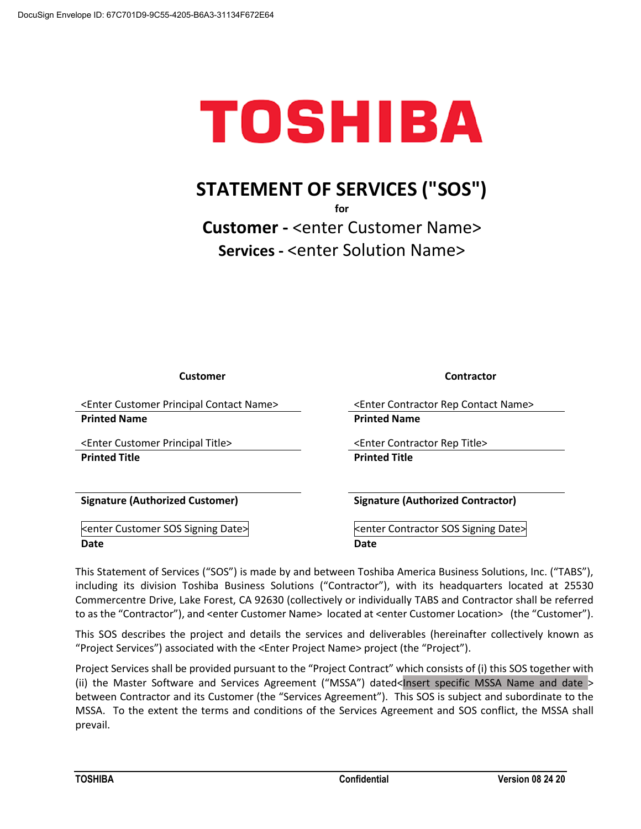# TOSHIBA

# **STATEMENT OF SERVICES ("SOS")**

**for**

**Customer -** <enter Customer Name> **Services -** <enter Solution Name>

**Customer Contractor**

<Enter Customer Principal Contact Name> <Enter Contractor Rep Contact Name> **Printed Name Printed Name**

<Enter Customer Principal Title> <Enter Contractor Rep Title> **Printed Title Printed Title**

<enter Customer SOS Signing Date> <terractor SOS Signing Date> **Date** Date Date Date Date

**Signature (Authorized Customer) Signature (Authorized Contractor)**

This Statement of Services ("SOS") is made by and between Toshiba America Business Solutions, Inc. ("TABS"), including its division Toshiba Business Solutions ("Contractor"), with its headquarters located at 25530 Commercentre Drive, Lake Forest, CA 92630 (collectively or individually TABS and Contractor shall be referred to as the "Contractor"), and <enter Customer Name> located at <enter Customer Location> (the "Customer").

This SOS describes the project and details the services and deliverables (hereinafter collectively known as "Project Services") associated with the <Enter Project Name> project (the "Project").

Project Services shall be provided pursuant to the "Project Contract" which consists of (i) this SOS together with (ii) the Master Software and Services Agreement ("MSSA") dated<Insert specific MSSA Name and date > between Contractor and its Customer (the "Services Agreement"). This SOS is subject and subordinate to the MSSA. To the extent the terms and conditions of the Services Agreement and SOS conflict, the MSSA shall prevail.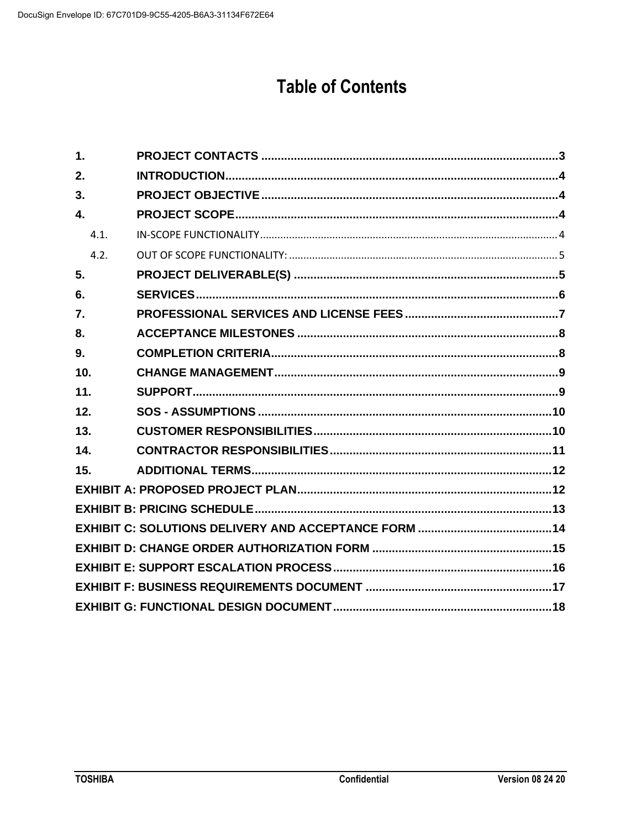## **Table of Contents**

| $\mathbf 1$ . |  |
|---------------|--|
| 2.            |  |
| 3.            |  |
| $\mathbf{4}$  |  |
| 4.1           |  |
| 4.2.          |  |
| 5.            |  |
| 6.            |  |
| 7.            |  |
| 8.            |  |
| 9.            |  |
| 10.           |  |
| 11.           |  |
| 12.           |  |
| 13.           |  |
| 14.           |  |
| 15.           |  |
|               |  |
|               |  |
|               |  |
|               |  |
|               |  |
|               |  |
|               |  |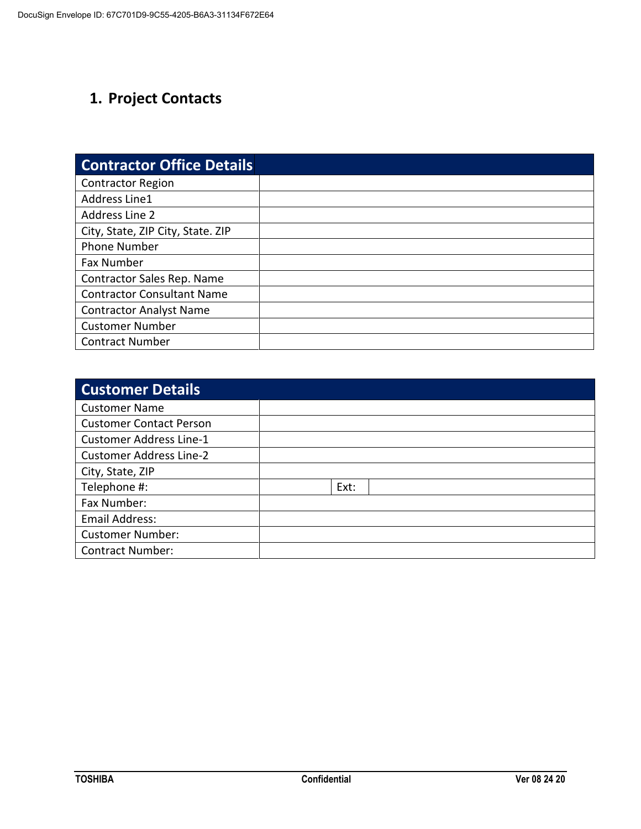## <span id="page-9-0"></span>**1. Project Contacts**

| <b>Contractor Office Details</b>  |  |
|-----------------------------------|--|
| <b>Contractor Region</b>          |  |
| Address Line1                     |  |
| Address Line 2                    |  |
| City, State, ZIP City, State. ZIP |  |
| <b>Phone Number</b>               |  |
| <b>Fax Number</b>                 |  |
| Contractor Sales Rep. Name        |  |
| <b>Contractor Consultant Name</b> |  |
| <b>Contractor Analyst Name</b>    |  |
| <b>Customer Number</b>            |  |
| <b>Contract Number</b>            |  |

| <b>Customer Details</b>        |      |  |
|--------------------------------|------|--|
| <b>Customer Name</b>           |      |  |
| <b>Customer Contact Person</b> |      |  |
| <b>Customer Address Line-1</b> |      |  |
| <b>Customer Address Line-2</b> |      |  |
| City, State, ZIP               |      |  |
| Telephone #:                   | Ext: |  |
| Fax Number:                    |      |  |
| Email Address:                 |      |  |
| <b>Customer Number:</b>        |      |  |
| <b>Contract Number:</b>        |      |  |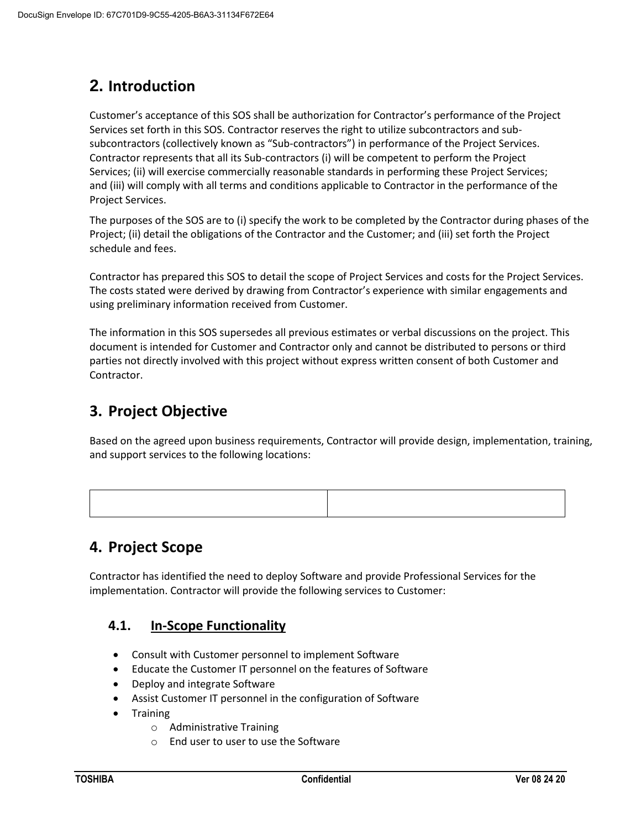## <span id="page-10-0"></span>**2. Introduction**

Customer's acceptance of this SOS shall be authorization for Contractor's performance of the Project Services set forth in this SOS. Contractor reserves the right to utilize subcontractors and subsubcontractors (collectively known as "Sub-contractors") in performance of the Project Services. Contractor represents that all its Sub-contractors (i) will be competent to perform the Project Services; (ii) will exercise commercially reasonable standards in performing these Project Services; and (iii) will comply with all terms and conditions applicable to Contractor in the performance of the Project Services.

The purposes of the SOS are to (i) specify the work to be completed by the Contractor during phases of the Project; (ii) detail the obligations of the Contractor and the Customer; and (iii) set forth the Project schedule and fees.

Contractor has prepared this SOS to detail the scope of Project Services and costs for the Project Services. The costs stated were derived by drawing from Contractor's experience with similar engagements and using preliminary information received from Customer.

The information in this SOS supersedes all previous estimates or verbal discussions on the project. This document is intended for Customer and Contractor only and cannot be distributed to persons or third parties not directly involved with this project without express written consent of both Customer and Contractor.

## <span id="page-10-1"></span>**3. Project Objective**

Based on the agreed upon business requirements, Contractor will provide design, implementation, training, and support services to the following locations:

## <span id="page-10-2"></span>**4. Project Scope**

<span id="page-10-3"></span>Contractor has identified the need to deploy Software and provide Professional Services for the implementation. Contractor will provide the following services to Customer:

## **4.1. In-Scope Functionality**

- Consult with Customer personnel to implement Software
- Educate the Customer IT personnel on the features of Software
- Deploy and integrate Software
- Assist Customer IT personnel in the configuration of Software
- Training
	- o Administrative Training
	- o End user to user to use the Software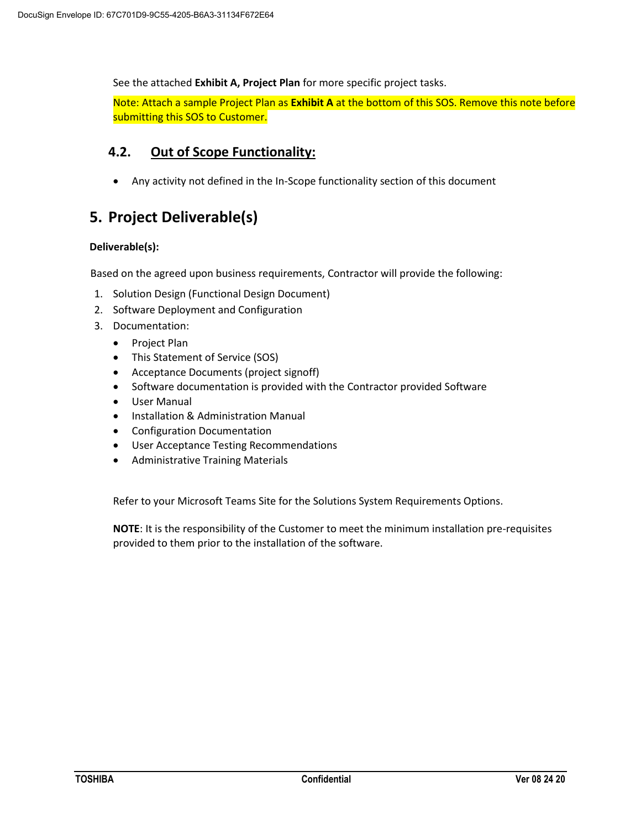See the attached **Exhibit A, Project Plan** for more specific project tasks.

Note: Attach a sample Project Plan as **Exhibit A** at the bottom of this SOS. Remove this note before submitting this SOS to Customer.

#### <span id="page-11-0"></span>**4.2. Out of Scope Functionality:**

• Any activity not defined in the In-Scope functionality section of this document

## <span id="page-11-1"></span>**5. Project Deliverable(s)**

#### **Deliverable(s):**

Based on the agreed upon business requirements, Contractor will provide the following:

- 1. Solution Design (Functional Design Document)
- 2. Software Deployment and Configuration
- 3. Documentation:
	- Project Plan
	- This Statement of Service (SOS)
	- Acceptance Documents (project signoff)
	- Software documentation is provided with the Contractor provided Software
	- User Manual
	- Installation & Administration Manual
	- Configuration Documentation
	- User Acceptance Testing Recommendations
	- Administrative Training Materials

Refer to your Microsoft Teams Site for the Solutions System Requirements Options.

**NOTE**: It is the responsibility of the Customer to meet the minimum installation pre-requisites provided to them prior to the installation of the software.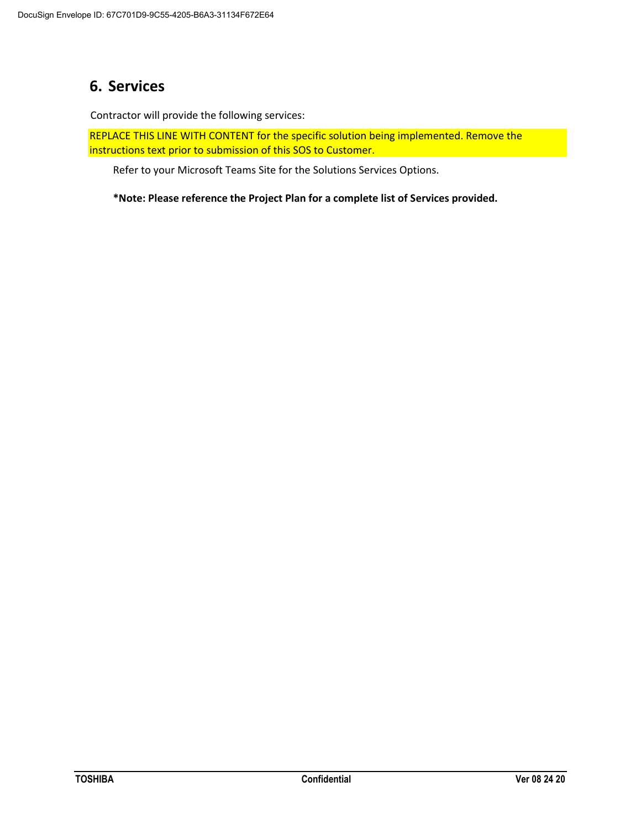## <span id="page-12-0"></span>**6. Services**

Contractor will provide the following services:

REPLACE THIS LINE WITH CONTENT for the specific solution being implemented. Remove the instructions text prior to submission of this SOS to Customer.

Refer to your Microsoft Teams Site for the Solutions Services Options.

**\*Note: Please reference the Project Plan for a complete list of Services provided.**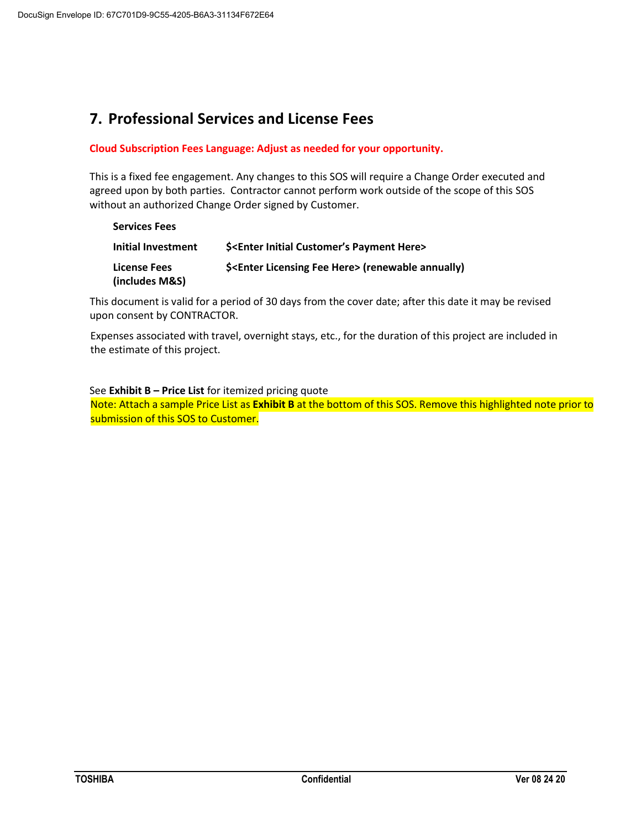## <span id="page-13-0"></span>**7. Professional Services and License Fees**

#### **Cloud Subscription Fees Language: Adjust as needed for your opportunity.**

This is a fixed fee engagement. Any changes to this SOS will require a Change Order executed and agreed upon by both parties. Contractor cannot perform work outside of the scope of this SOS without an authorized Change Order signed by Customer.

| <b>Services Fees</b>                  |                                                                     |
|---------------------------------------|---------------------------------------------------------------------|
| Initial Investment                    | \$ <enter customer's="" here="" initial="" payment=""></enter>      |
| <b>License Fees</b><br>(includes M&S) | \$ <enter fee="" here="" licensing=""> (renewable annually)</enter> |

This document is valid for a period of 30 days from the cover date; after this date it may be revised upon consent by CONTRACTOR.

Expenses associated with travel, overnight stays, etc., for the duration of this project are included in the estimate of this project.

See **Exhibit B – Price List** for itemized pricing quote Note: Attach a sample Price List as **Exhibit B** at the bottom of this SOS. Remove this highlighted note prior to submission of this SOS to Customer.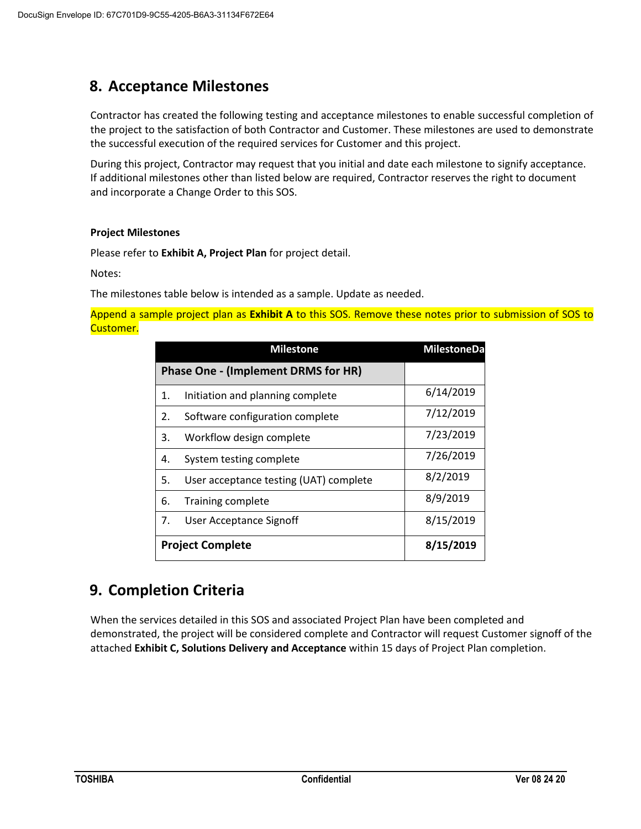## <span id="page-14-0"></span>**8. Acceptance Milestones**

Contractor has created the following testing and acceptance milestones to enable successful completion of the project to the satisfaction of both Contractor and Customer. These milestones are used to demonstrate the successful execution of the required services for Customer and this project.

During this project, Contractor may request that you initial and date each milestone to signify acceptance. If additional milestones other than listed below are required, Contractor reserves the right to document and incorporate a Change Order to this SOS.

#### **Project Milestones**

Please refer to **Exhibit A, Project Plan** for project detail.

Notes:

The milestones table below is intended as a sample. Update as needed.

Append a sample project plan as **Exhibit A** to this SOS. Remove these notes prior to submission of SOS to Customer.

| <b>Milestone</b>                           |                                        | <b>MilestoneDa</b> |
|--------------------------------------------|----------------------------------------|--------------------|
| <b>Phase One - (Implement DRMS for HR)</b> |                                        |                    |
| 1.                                         | Initiation and planning complete       | 6/14/2019          |
| 2.                                         | Software configuration complete        | 7/12/2019          |
| 3.                                         | Workflow design complete               | 7/23/2019          |
| 4.                                         | System testing complete                | 7/26/2019          |
| 5.                                         | User acceptance testing (UAT) complete | 8/2/2019           |
| 6.                                         | <b>Training complete</b>               | 8/9/2019           |
| 7.                                         | User Acceptance Signoff                | 8/15/2019          |
| <b>Project Complete</b>                    |                                        | 8/15/2019          |

## <span id="page-14-1"></span>**9. Completion Criteria**

When the services detailed in this SOS and associated Project Plan have been completed and demonstrated, the project will be considered complete and Contractor will request Customer signoff of the attached **Exhibit C, Solutions Delivery and Acceptance** within 15 days of Project Plan completion.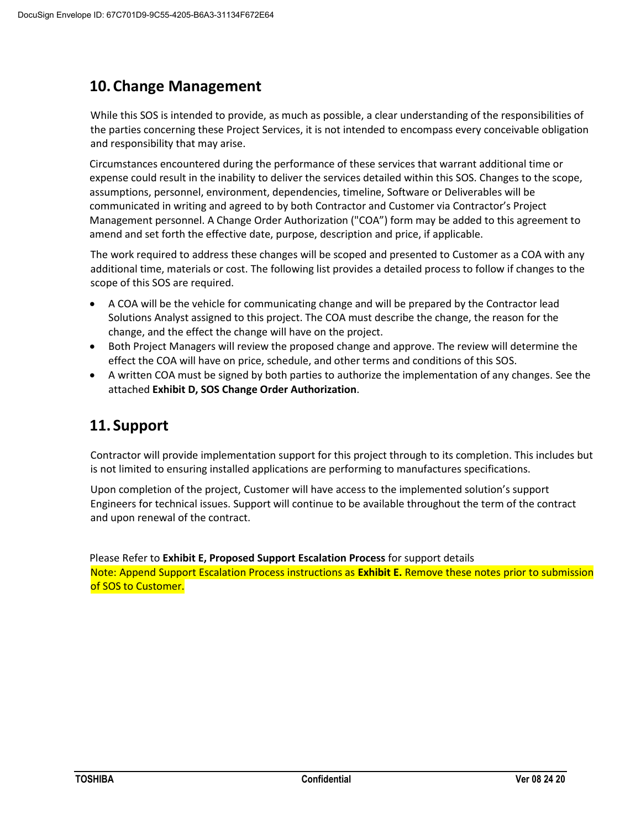## <span id="page-15-0"></span>**10.Change Management**

While this SOS is intended to provide, as much as possible, a clear understanding of the responsibilities of the parties concerning these Project Services, it is not intended to encompass every conceivable obligation and responsibility that may arise.

Circumstances encountered during the performance of these services that warrant additional time or expense could result in the inability to deliver the services detailed within this SOS. Changes to the scope, assumptions, personnel, environment, dependencies, timeline, Software or Deliverables will be communicated in writing and agreed to by both Contractor and Customer via Contractor's Project Management personnel. A Change Order Authorization ("COA") form may be added to this agreement to amend and set forth the effective date, purpose, description and price, if applicable.

The work required to address these changes will be scoped and presented to Customer as a COA with any additional time, materials or cost. The following list provides a detailed process to follow if changes to the scope of this SOS are required.

- A COA will be the vehicle for communicating change and will be prepared by the Contractor lead Solutions Analyst assigned to this project. The COA must describe the change, the reason for the change, and the effect the change will have on the project.
- Both Project Managers will review the proposed change and approve. The review will determine the effect the COA will have on price, schedule, and other terms and conditions of this SOS.
- A written COA must be signed by both parties to authorize the implementation of any changes. See the attached **Exhibit D, SOS Change Order Authorization**.

## <span id="page-15-1"></span>**11. Support**

Contractor will provide implementation support for this project through to its completion. This includes but is not limited to ensuring installed applications are performing to manufactures specifications.

Upon completion of the project, Customer will have access to the implemented solution's support Engineers for technical issues. Support will continue to be available throughout the term of the contract and upon renewal of the contract.

Please Refer to **Exhibit E, Proposed Support Escalation Process** for support details Note: Append Support Escalation Process instructions as **Exhibit E.** Remove these notes prior to submission of SOS to Customer.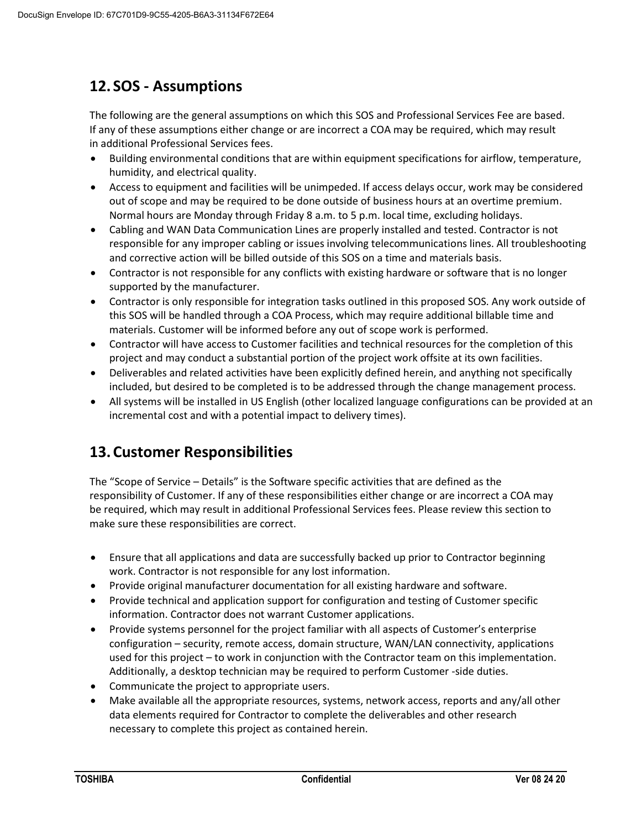## <span id="page-16-0"></span>**12. SOS - Assumptions**

The following are the general assumptions on which this SOS and Professional Services Fee are based. If any of these assumptions either change or are incorrect a COA may be required, which may result in additional Professional Services fees.

- Building environmental conditions that are within equipment specifications for airflow, temperature, humidity, and electrical quality.
- Access to equipment and facilities will be unimpeded. If access delays occur, work may be considered out of scope and may be required to be done outside of business hours at an overtime premium. Normal hours are Monday through Friday 8 a.m. to 5 p.m. local time, excluding holidays.
- Cabling and WAN Data Communication Lines are properly installed and tested. Contractor is not responsible for any improper cabling or issues involving telecommunications lines. All troubleshooting and corrective action will be billed outside of this SOS on a time and materials basis.
- Contractor is not responsible for any conflicts with existing hardware or software that is no longer supported by the manufacturer.
- Contractor is only responsible for integration tasks outlined in this proposed SOS. Any work outside of this SOS will be handled through a COA Process, which may require additional billable time and materials. Customer will be informed before any out of scope work is performed.
- Contractor will have access to Customer facilities and technical resources for the completion of this project and may conduct a substantial portion of the project work offsite at its own facilities.
- Deliverables and related activities have been explicitly defined herein, and anything not specifically included, but desired to be completed is to be addressed through the change management process.
- All systems will be installed in US English (other localized language configurations can be provided at an incremental cost and with a potential impact to delivery times).

## <span id="page-16-1"></span>**13.Customer Responsibilities**

The "Scope of Service – Details" is the Software specific activities that are defined as the responsibility of Customer. If any of these responsibilities either change or are incorrect a COA may be required, which may result in additional Professional Services fees. Please review this section to make sure these responsibilities are correct.

- Ensure that all applications and data are successfully backed up prior to Contractor beginning work. Contractor is not responsible for any lost information.
- Provide original manufacturer documentation for all existing hardware and software.
- Provide technical and application support for configuration and testing of Customer specific information. Contractor does not warrant Customer applications.
- Provide systems personnel for the project familiar with all aspects of Customer's enterprise configuration – security, remote access, domain structure, WAN/LAN connectivity, applications used for this project – to work in conjunction with the Contractor team on this implementation. Additionally, a desktop technician may be required to perform Customer -side duties.
- Communicate the project to appropriate users.
- Make available all the appropriate resources, systems, network access, reports and any/all other data elements required for Contractor to complete the deliverables and other research necessary to complete this project as contained herein.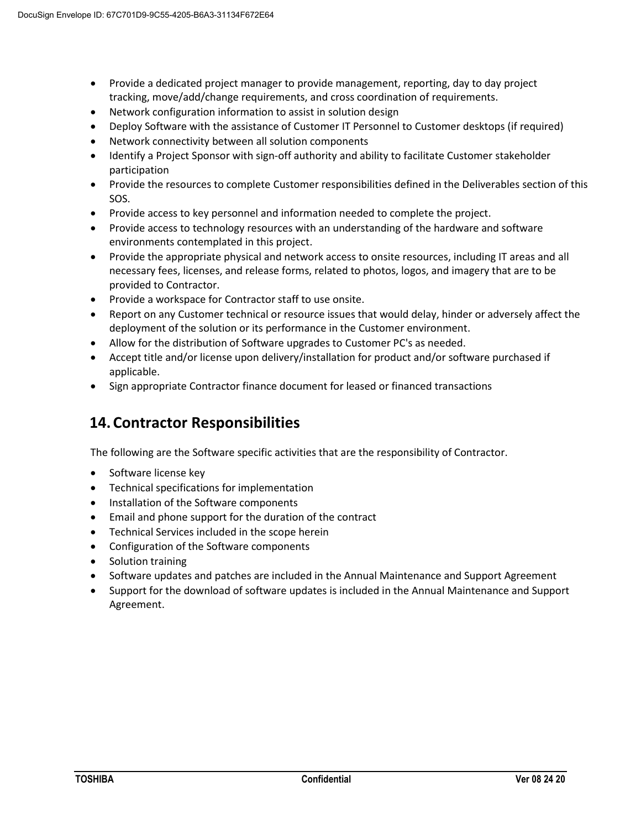- Provide a dedicated project manager to provide management, reporting, day to day project tracking, move/add/change requirements, and cross coordination of requirements.
- Network configuration information to assist in solution design
- Deploy Software with the assistance of Customer IT Personnel to Customer desktops (if required)
- Network connectivity between all solution components
- Identify a Project Sponsor with sign-off authority and ability to facilitate Customer stakeholder participation
- Provide the resources to complete Customer responsibilities defined in the Deliverables section of this SOS.
- Provide access to key personnel and information needed to complete the project.
- Provide access to technology resources with an understanding of the hardware and software environments contemplated in this project.
- Provide the appropriate physical and network access to onsite resources, including IT areas and all necessary fees, licenses, and release forms, related to photos, logos, and imagery that are to be provided to Contractor.
- Provide a workspace for Contractor staff to use onsite.
- Report on any Customer technical or resource issues that would delay, hinder or adversely affect the deployment of the solution or its performance in the Customer environment.
- Allow for the distribution of Software upgrades to Customer PC's as needed.
- Accept title and/or license upon delivery/installation for product and/or software purchased if applicable.
- <span id="page-17-0"></span>• Sign appropriate Contractor finance document for leased or financed transactions

## **14.Contractor Responsibilities**

The following are the Software specific activities that are the responsibility of Contractor.

- Software license key
- Technical specifications for implementation
- Installation of the Software components
- Email and phone support for the duration of the contract
- Technical Services included in the scope herein
- Configuration of the Software components
- Solution training
- Software updates and patches are included in the Annual Maintenance and Support Agreement
- <span id="page-17-1"></span>• Support for the download of software updates is included in the Annual Maintenance and Support Agreement.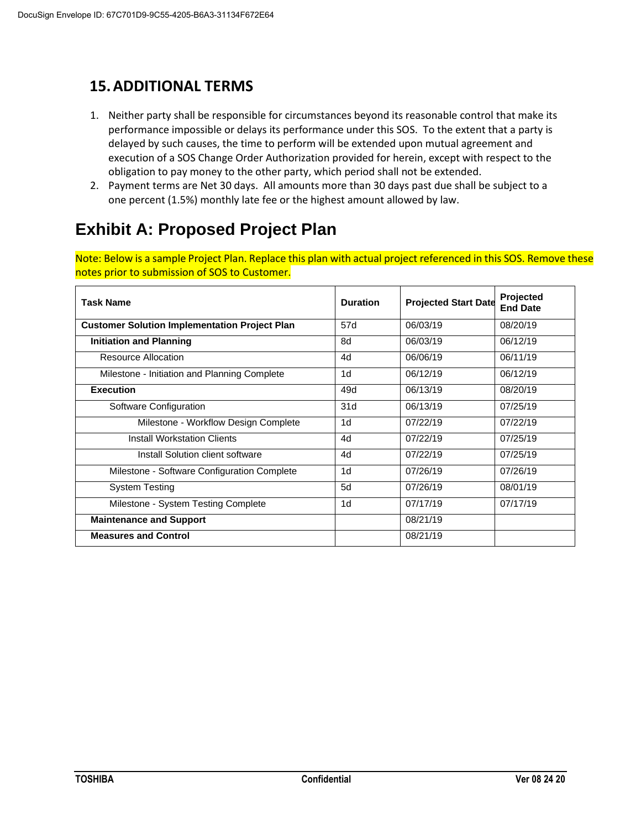## **15.ADDITIONAL TERMS**

- 1. Neither party shall be responsible for circumstances beyond its reasonable control that make its performance impossible or delays its performance under this SOS. To the extent that a party is delayed by such causes, the time to perform will be extended upon mutual agreement and execution of a SOS Change Order Authorization provided for herein, except with respect to the obligation to pay money to the other party, which period shall not be extended.
- 2. Payment terms are Net 30 days. All amounts more than 30 days past due shall be subject to a one percent (1.5%) monthly late fee or the highest amount allowed by law.

## <span id="page-18-0"></span>**Exhibit A: Proposed Project Plan**

Note: Below is a sample Project Plan. Replace this plan with actual project referenced in this SOS. Remove these notes prior to submission of SOS to Customer.

| <b>Task Name</b>                                     | <b>Duration</b> | <b>Projected Start Date</b> | Projected<br><b>End Date</b> |
|------------------------------------------------------|-----------------|-----------------------------|------------------------------|
| <b>Customer Solution Implementation Project Plan</b> | 57d             | 06/03/19                    | 08/20/19                     |
| <b>Initiation and Planning</b>                       | 8d              | 06/03/19                    | 06/12/19                     |
| Resource Allocation                                  | 4d              | 06/06/19                    | 06/11/19                     |
| Milestone - Initiation and Planning Complete         | 1d              | 06/12/19                    | 06/12/19                     |
| <b>Execution</b>                                     | 49d             | 06/13/19                    | 08/20/19                     |
| Software Configuration                               | 31d             | 06/13/19                    | 07/25/19                     |
| Milestone - Workflow Design Complete                 | 1 <sub>d</sub>  | 07/22/19                    | 07/22/19                     |
| <b>Install Workstation Clients</b>                   | 4d              | 07/22/19                    | 07/25/19                     |
| Install Solution client software                     | 4d              | 07/22/19                    | 07/25/19                     |
| Milestone - Software Configuration Complete          | 1 <sub>d</sub>  | 07/26/19                    | 07/26/19                     |
| <b>System Testing</b>                                | 5d              | 07/26/19                    | 08/01/19                     |
| Milestone - System Testing Complete                  | 1d              | 07/17/19                    | 07/17/19                     |
| <b>Maintenance and Support</b>                       |                 | 08/21/19                    |                              |
| <b>Measures and Control</b>                          |                 | 08/21/19                    |                              |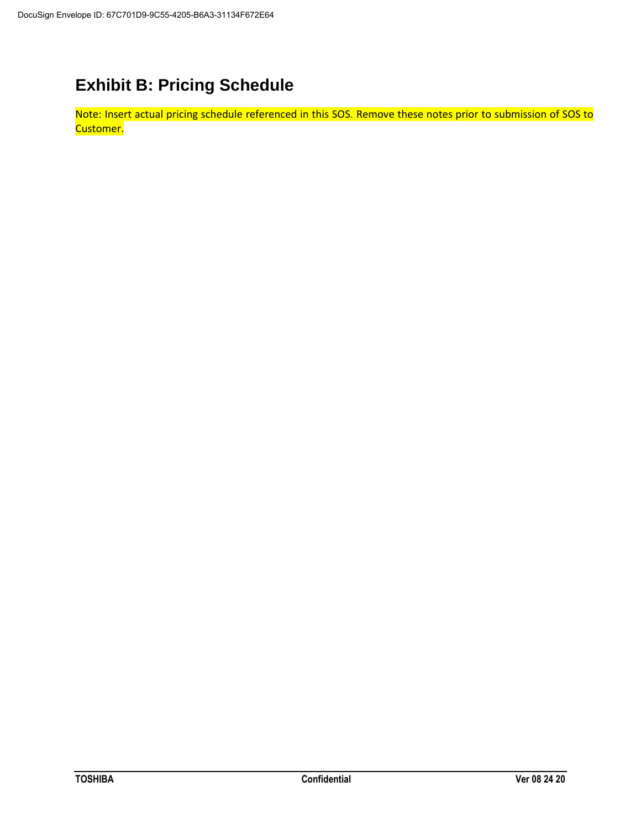## <span id="page-19-0"></span>**Exhibit B: Pricing Schedule**

Note: Insert actual pricing schedule referenced in this SOS. Remove these notes prior to submission of SOS to Customer.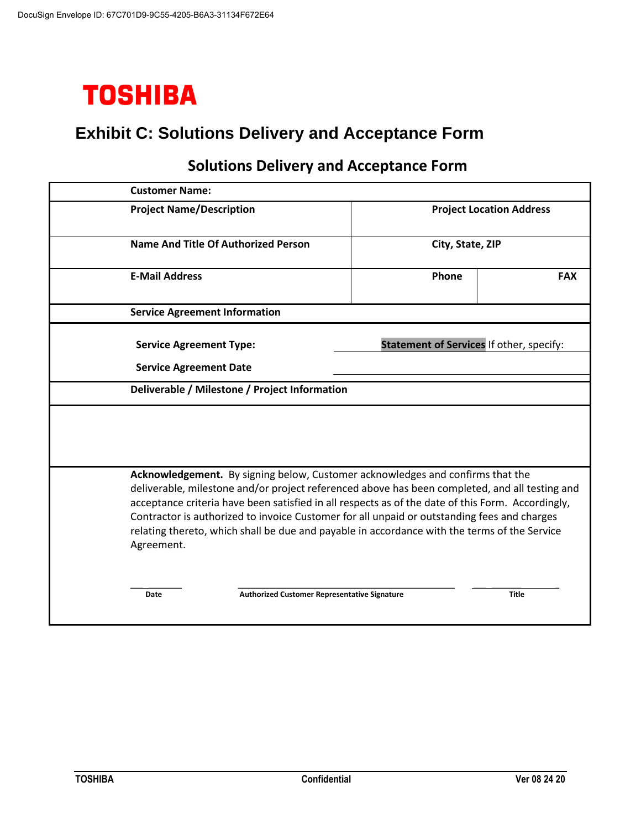

## <span id="page-20-0"></span>**Exhibit C: Solutions Delivery and Acceptance Form**

| <b>Customer Name:</b>                                                                                                                                                                                                                                                                                                                                                                                                                                                                              |                                          |              |
|----------------------------------------------------------------------------------------------------------------------------------------------------------------------------------------------------------------------------------------------------------------------------------------------------------------------------------------------------------------------------------------------------------------------------------------------------------------------------------------------------|------------------------------------------|--------------|
| <b>Project Name/Description</b>                                                                                                                                                                                                                                                                                                                                                                                                                                                                    | <b>Project Location Address</b>          |              |
| <b>Name And Title Of Authorized Person</b>                                                                                                                                                                                                                                                                                                                                                                                                                                                         | City, State, ZIP                         |              |
| <b>E-Mail Address</b>                                                                                                                                                                                                                                                                                                                                                                                                                                                                              | Phone                                    | <b>FAX</b>   |
| <b>Service Agreement Information</b>                                                                                                                                                                                                                                                                                                                                                                                                                                                               |                                          |              |
| <b>Service Agreement Type:</b>                                                                                                                                                                                                                                                                                                                                                                                                                                                                     | Statement of Services If other, specify: |              |
| <b>Service Agreement Date</b>                                                                                                                                                                                                                                                                                                                                                                                                                                                                      |                                          |              |
| Deliverable / Milestone / Project Information                                                                                                                                                                                                                                                                                                                                                                                                                                                      |                                          |              |
|                                                                                                                                                                                                                                                                                                                                                                                                                                                                                                    |                                          |              |
| Acknowledgement. By signing below, Customer acknowledges and confirms that the<br>deliverable, milestone and/or project referenced above has been completed, and all testing and<br>acceptance criteria have been satisfied in all respects as of the date of this Form. Accordingly,<br>Contractor is authorized to invoice Customer for all unpaid or outstanding fees and charges<br>relating thereto, which shall be due and payable in accordance with the terms of the Service<br>Agreement. |                                          |              |
| <b>Authorized Customer Representative Signature</b><br>Date                                                                                                                                                                                                                                                                                                                                                                                                                                        |                                          | <b>Title</b> |

## **Solutions Delivery and Acceptance Form**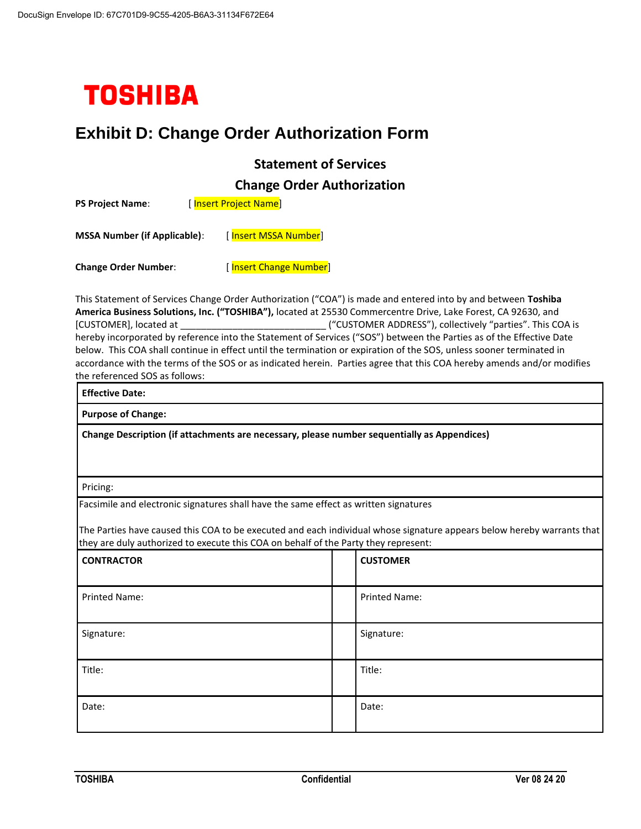

## <span id="page-21-0"></span>**Exhibit D: Change Order Authorization Form**

#### **Statement of Services**

**Change Order Authorization**

| <b>PS Project Name:</b>             |  | [Insert Project Name]  |  |
|-------------------------------------|--|------------------------|--|
| <b>MSSA Number (if Applicable):</b> |  | [Insert MSSA Number]   |  |
| <b>Change Order Number:</b>         |  | [Insert Change Number] |  |

This Statement of Services Change Order Authorization ("COA") is made and entered into by and between **Toshiba America Business Solutions, Inc. ("TOSHIBA"),** located at 25530 Commercentre Drive, Lake Forest, CA 92630, and [CUSTOMER], located at \_\_\_\_\_\_\_\_\_\_\_\_\_\_\_\_\_\_\_\_\_\_\_\_\_\_\_\_ ("CUSTOMER ADDRESS"), collectively "parties". This COA is hereby incorporated by reference into the Statement of Services ("SOS") between the Parties as of the Effective Date below. This COA shall continue in effect until the termination or expiration of the SOS, unless sooner terminated in accordance with the terms of the SOS or as indicated herein. Parties agree that this COA hereby amends and/or modifies the referenced SOS as follows:

| <b>Effective Date:</b>                                                                      |  |
|---------------------------------------------------------------------------------------------|--|
| <b>Purpose of Change:</b>                                                                   |  |
| Change Description (if attachments are necessary, please number sequentially as Appendices) |  |
|                                                                                             |  |
| Pricing:                                                                                    |  |

Facsimile and electronic signatures shall have the same effect as written signatures

The Parties have caused this COA to be executed and each individual whose signature appears below hereby warrants that they are duly authorized to execute this COA on behalf of the Party they represent:

| <b>CONTRACTOR</b> | <b>CUSTOMER</b> |
|-------------------|-----------------|
| Printed Name:     | Printed Name:   |
| Signature:        | Signature:      |
| Title:            | Title:          |
| Date:             | Date:           |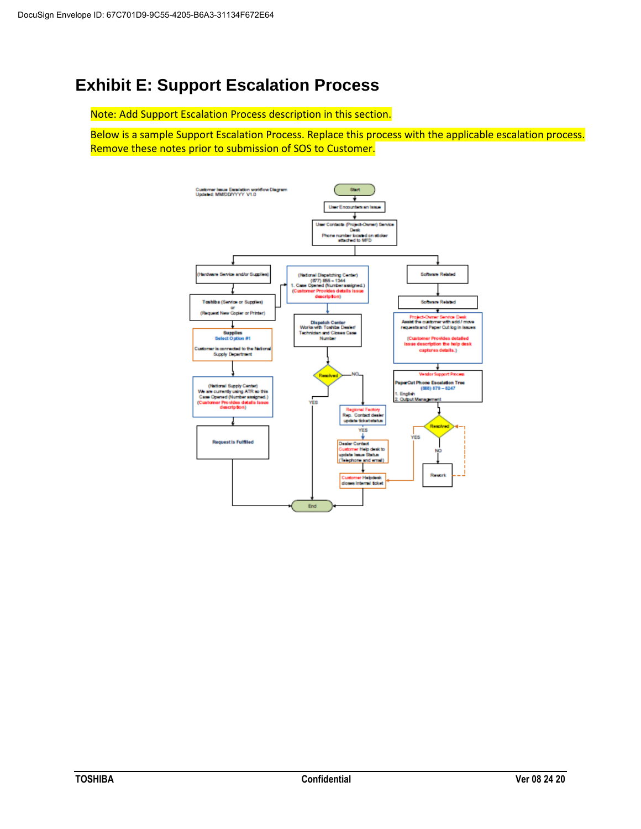## <span id="page-22-0"></span>**Exhibit E: Support Escalation Process**

Note: Add Support Escalation Process description in this section.

Below is a sample Support Escalation Process. Replace this process with the applicable escalation process. Remove these notes prior to submission of SOS to Customer.

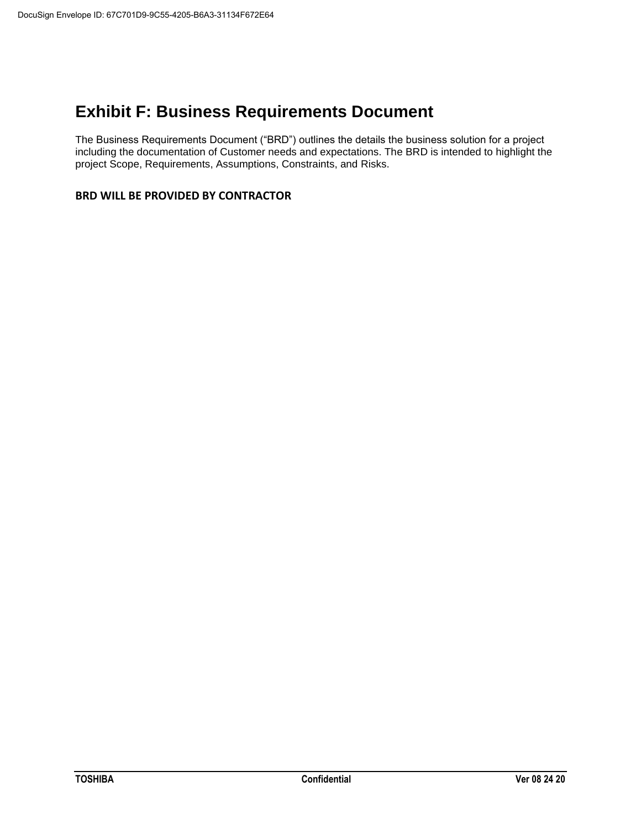## <span id="page-23-0"></span>**Exhibit F: Business Requirements Document**

The Business Requirements Document ("BRD") outlines the details the business solution for a project including the documentation of Customer needs and expectations. The BRD is intended to highlight the project Scope, Requirements, Assumptions, Constraints, and Risks.

#### **BRD WILL BE PROVIDED BY CONTRACTOR**